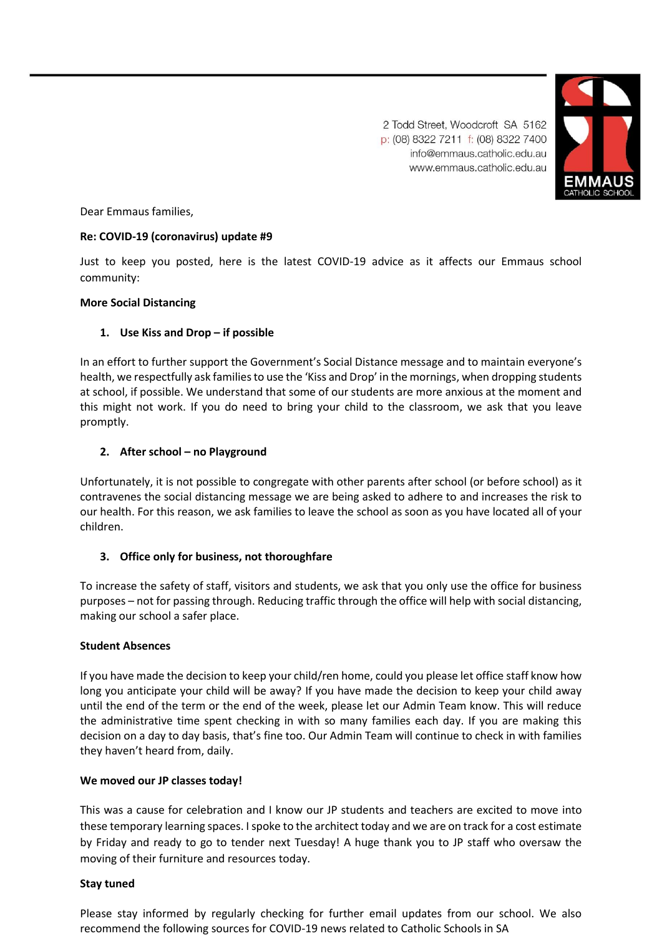

2 Todd Street, Woodcroft SA 5162 p: (08) 8322 7211 f: (08) 8322 7400 info@emmaus.catholic.edu.au www.emmaus.catholic.edu.au

Dear Emmaus families,

# **Re: COVID-19 (coronavirus) update #9**

Just to keep you posted, here is the latest COVID-19 advice as it affects our Emmaus school community:

### **More Social Distancing**

# **1. Use Kiss and Drop – if possible**

In an effort to further support the Government's Social Distance message and to maintain everyone's health, we respectfully ask families to use the 'Kiss and Drop' in the mornings, when dropping students at school, if possible. We understand that some of our students are more anxious at the moment and this might not work. If you do need to bring your child to the classroom, we ask that you leave promptly.

# **2. After school – no Playground**

Unfortunately, it is not possible to congregate with other parents after school (or before school) as it contravenes the social distancing message we are being asked to adhere to and increases the risk to our health. For this reason, we ask families to leave the school as soon as you have located all of your children.

# **3. Office only for business, not thoroughfare**

To increase the safety of staff, visitors and students, we ask that you only use the office for business purposes – not for passing through. Reducing traffic through the office will help with social distancing, making our school a safer place.

#### **Student Absences**

If you have made the decision to keep your child/ren home, could you please let office staff know how long you anticipate your child will be away? If you have made the decision to keep your child away until the end of the term or the end of the week, please let our Admin Team know. This will reduce the administrative time spent checking in with so many families each day. If you are making this decision on a day to day basis, that's fine too. Our Admin Team will continue to check in with families they haven't heard from, daily.

#### **We moved our JP classes today!**

This was a cause for celebration and I know our JP students and teachers are excited to move into these temporary learning spaces. I spoke to the architect today and we are on track for a cost estimate by Friday and ready to go to tender next Tuesday! A huge thank you to JP staff who oversaw the moving of their furniture and resources today.

#### **Stay tuned**

Please stay informed by regularly checking for further email updates from our school. We also recommend the following sources for COVID-19 news related to Catholic Schools in SA